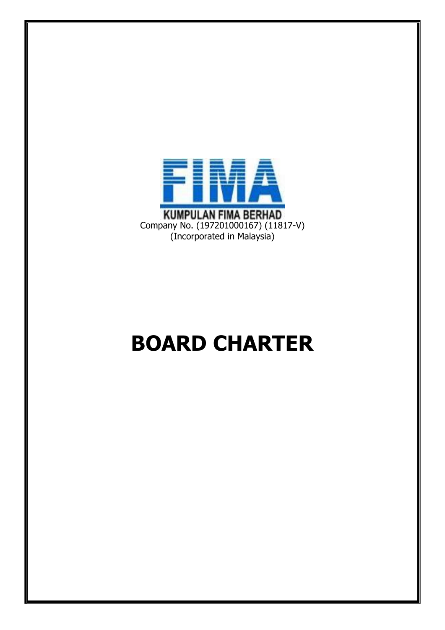

# **BOARD CHARTER**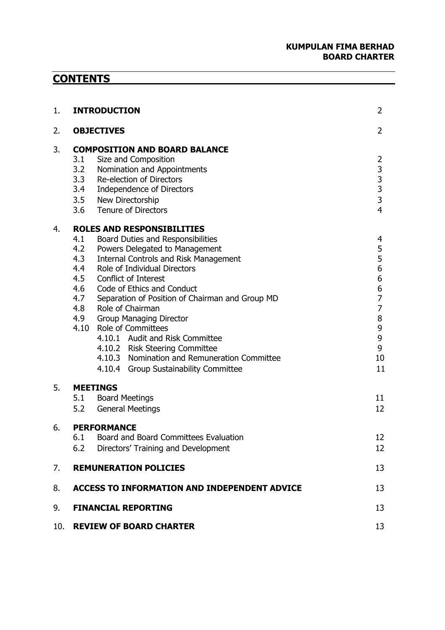#### **KUMPULAN FIMA BERHAD BOARD CHARTER**

## **CONTENTS**

| 1.  | <b>INTRODUCTION</b>                                                                                                                                                                                                                                                                                                                                                                                                                                                                                                                                                                                                    | 2                                                                                              |
|-----|------------------------------------------------------------------------------------------------------------------------------------------------------------------------------------------------------------------------------------------------------------------------------------------------------------------------------------------------------------------------------------------------------------------------------------------------------------------------------------------------------------------------------------------------------------------------------------------------------------------------|------------------------------------------------------------------------------------------------|
| 2.  | <b>OBJECTIVES</b>                                                                                                                                                                                                                                                                                                                                                                                                                                                                                                                                                                                                      | $\overline{2}$                                                                                 |
| 3.  | <b>COMPOSITION AND BOARD BALANCE</b><br>3.1<br>Size and Composition<br>3.2<br>Nomination and Appointments<br>3.3 Re-election of Directors<br>3.4 Independence of Directors<br>3.5 New Directorship<br>3.6 Tenure of Directors                                                                                                                                                                                                                                                                                                                                                                                          | $\overline{2}$<br>$\begin{array}{c} 3 \\ 3 \\ 3 \end{array}$<br>3<br>$\overline{4}$            |
| 4.  | <b>ROLES AND RESPONSIBILITIES</b><br>4.1<br>Board Duties and Responsibilities<br>4.2<br>Powers Delegated to Management<br>4.3<br><b>Internal Controls and Risk Management</b><br>4.4<br>Role of Individual Directors<br>4.5 Conflict of Interest<br>4.6<br>Code of Ethics and Conduct<br>4.7<br>Separation of Position of Chairman and Group MD<br>Role of Chairman<br>4.8<br>4.9<br><b>Group Managing Director</b><br><b>Role of Committees</b><br>4.10<br>4.10.1 Audit and Risk Committee<br>4.10.2 Risk Steering Committee<br>4.10.3 Nomination and Remuneration Committee<br>4.10.4 Group Sustainability Committee | 4<br>5<br>5<br>6<br>6<br>6<br>$\overline{7}$<br>$\overline{7}$<br>8<br>9<br>9<br>9<br>10<br>11 |
| 5.  | <b>MEETINGS</b><br>5.1 Board Meetings<br>5.2<br><b>General Meetings</b>                                                                                                                                                                                                                                                                                                                                                                                                                                                                                                                                                | 11<br>12                                                                                       |
| 6.  | <b>PERFORMANCE</b><br>6.1 Board and Board Committees Evaluation<br>6.2<br>Directors' Training and Development                                                                                                                                                                                                                                                                                                                                                                                                                                                                                                          | 12<br>12                                                                                       |
| 7.  | <b>REMUNERATION POLICIES</b>                                                                                                                                                                                                                                                                                                                                                                                                                                                                                                                                                                                           | 13                                                                                             |
| 8.  | <b>ACCESS TO INFORMATION AND INDEPENDENT ADVICE</b>                                                                                                                                                                                                                                                                                                                                                                                                                                                                                                                                                                    | 13                                                                                             |
| 9.  | <b>FINANCIAL REPORTING</b>                                                                                                                                                                                                                                                                                                                                                                                                                                                                                                                                                                                             | 13                                                                                             |
| 10. | <b>REVIEW OF BOARD CHARTER</b>                                                                                                                                                                                                                                                                                                                                                                                                                                                                                                                                                                                         | 13                                                                                             |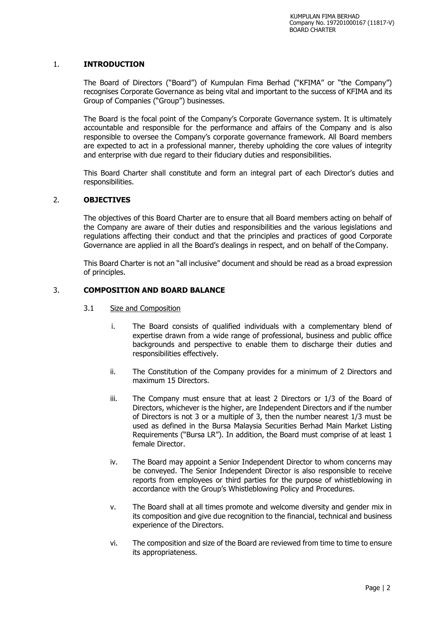#### 1. **INTRODUCTION**

The Board of Directors ("Board") of Kumpulan Fima Berhad ("KFIMA" or "the Company") recognises Corporate Governance as being vital and important to the success of KFIMA and its Group of Companies ("Group") businesses.

The Board is the focal point of the Company's Corporate Governance system. It is ultimately accountable and responsible for the performance and affairs of the Company and is also responsible to oversee the Company's corporate governance framework. All Board members are expected to act in a professional manner, thereby upholding the core values of integrity and enterprise with due regard to their fiduciary duties and responsibilities.

This Board Charter shall constitute and form an integral part of each Director's duties and responsibilities.

#### 2. **OBJECTIVES**

The objectives of this Board Charter are to ensure that all Board members acting on behalf of the Company are aware of their duties and responsibilities and the various legislations and regulations affecting their conduct and that the principles and practices of good Corporate Governance are applied in all the Board's dealings in respect, and on behalf of the Company.

This Board Charter is not an "all inclusive" document and should be read as a broad expression of principles.

#### 3. **COMPOSITION AND BOARD BALANCE**

- 3.1 Size and Composition
	- i. The Board consists of qualified individuals with a complementary blend of expertise drawn from a wide range of professional, business and public office backgrounds and perspective to enable them to discharge their duties and responsibilities effectively.
	- ii. The Constitution of the Company provides for a minimum of 2 Directors and maximum 15 Directors.
	- iii. The Company must ensure that at least 2 Directors or 1/3 of the Board of Directors, whichever is the higher, are Independent Directors and if the number of Directors is not 3 or a multiple of 3, then the number nearest 1/3 must be used as defined in the Bursa Malaysia Securities Berhad Main Market Listing Requirements ("Bursa LR"). In addition, the Board must comprise of at least 1 female Director.
	- iv. The Board may appoint a Senior Independent Director to whom concerns may be conveyed. The Senior Independent Director is also responsible to receive reports from employees or third parties for the purpose of whistleblowing in accordance with the Group's Whistleblowing Policy and Procedures.
	- v. The Board shall at all times promote and welcome diversity and gender mix in its composition and give due recognition to the financial, technical and business experience of the Directors.
	- vi. The composition and size of the Board are reviewed from time to time to ensure its appropriateness.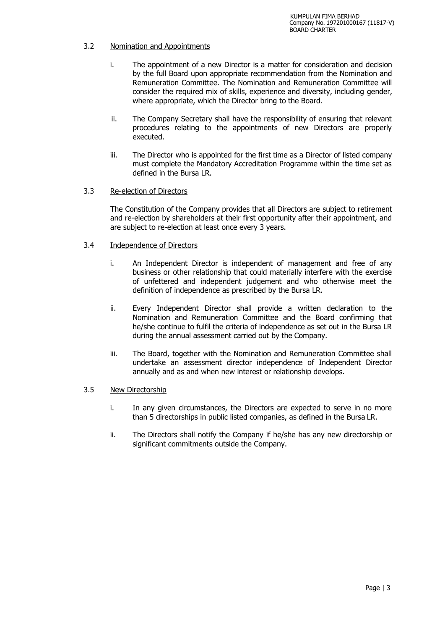#### 3.2 Nomination and Appointments

- i. The appointment of a new Director is a matter for consideration and decision by the full Board upon appropriate recommendation from the Nomination and Remuneration Committee. The Nomination and Remuneration Committee will consider the required mix of skills, experience and diversity, including gender, where appropriate, which the Director bring to the Board.
- ii. The Company Secretary shall have the responsibility of ensuring that relevant procedures relating to the appointments of new Directors are properly executed.
- iii. The Director who is appointed for the first time as a Director of listed company must complete the Mandatory Accreditation Programme within the time set as defined in the Bursa LR.

#### 3.3 Re-election of Directors

The Constitution of the Company provides that all Directors are subject to retirement and re-election by shareholders at their first opportunity after their appointment, and are subject to re-election at least once every 3 years.

#### 3.4 Independence of Directors

- i. An Independent Director is independent of management and free of any business or other relationship that could materially interfere with the exercise of unfettered and independent judgement and who otherwise meet the definition of independence as prescribed by the Bursa LR.
- ii. Every Independent Director shall provide a written declaration to the Nomination and Remuneration Committee and the Board confirming that he/she continue to fulfil the criteria of independence as set out in the Bursa LR during the annual assessment carried out by the Company.
- iii. The Board, together with the Nomination and Remuneration Committee shall undertake an assessment director independence of Independent Director annually and as and when new interest or relationship develops.

#### 3.5 New Directorship

- i. In any given circumstances, the Directors are expected to serve in no more than 5 directorships in public listed companies, as defined in the Bursa LR.
- ii. The Directors shall notify the Company if he/she has any new directorship or significant commitments outside the Company.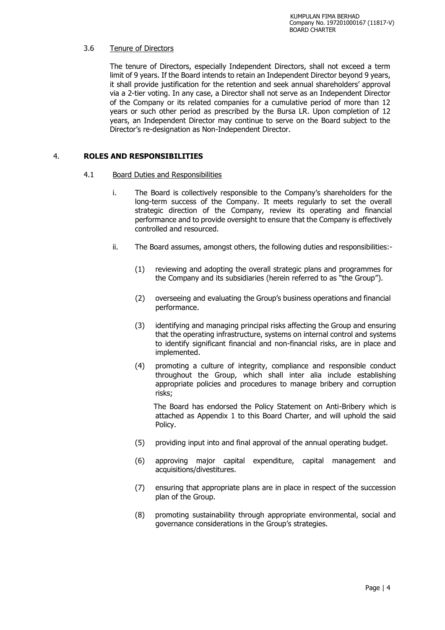#### 3.6 Tenure of Directors

The tenure of Directors, especially Independent Directors, shall not exceed a term limit of 9 years. If the Board intends to retain an Independent Director beyond 9 years, it shall provide justification for the retention and seek annual shareholders' approval via a 2-tier voting. In any case, a Director shall not serve as an Independent Director of the Company or its related companies for a cumulative period of more than 12 years or such other period as prescribed by the Bursa LR. Upon completion of 12 years, an Independent Director may continue to serve on the Board subject to the Director's re-designation as Non-Independent Director.

#### 4. **ROLES AND RESPONSIBILITIES**

#### 4.1 Board Duties and Responsibilities

- i. The Board is collectively responsible to the Company's shareholders for the long-term success of the Company. It meets regularly to set the overall strategic direction of the Company, review its operating and financial performance and to provide oversight to ensure that the Company is effectively controlled and resourced.
- ii. The Board assumes, amongst others, the following duties and responsibilities:-
	- (1) reviewing and adopting the overall strategic plans and programmes for the Company and its subsidiaries (herein referred to as "the Group").
	- (2) overseeing and evaluating the Group's business operations and financial performance.
	- (3) identifying and managing principal risks affecting the Group and ensuring that the operating infrastructure, systems on internal control and systems to identify significant financial and non-financial risks, are in place and implemented.
	- (4) promoting a culture of integrity, compliance and responsible conduct throughout the Group, which shall inter alia include establishing appropriate policies and procedures to manage bribery and corruption risks;

 The Board has endorsed the Policy Statement on Anti-Bribery which is attached as Appendix 1 to this Board Charter, and will uphold the said Policy.

- (5) providing input into and final approval of the annual operating budget.
- (6) approving major capital expenditure, capital management and acquisitions/divestitures.
- (7) ensuring that appropriate plans are in place in respect of the succession plan of the Group.
- (8) promoting sustainability through appropriate environmental, social and governance considerations in the Group's strategies.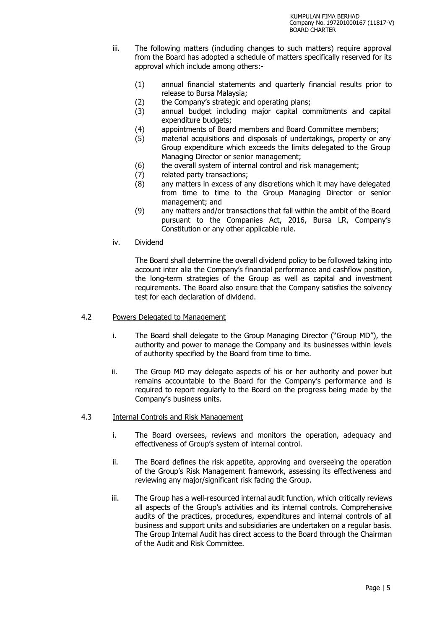- iii. The following matters (including changes to such matters) require approval from the Board has adopted a schedule of matters specifically reserved for its approval which include among others:-
	- (1) annual financial statements and quarterly financial results prior to release to Bursa Malaysia;
	- (2) the Company's strategic and operating plans;
	- (3) annual budget including major capital commitments and capital expenditure budgets;
	- (4) appointments of Board members and Board Committee members;
	- (5) material acquisitions and disposals of undertakings, property or any Group expenditure which exceeds the limits delegated to the Group Managing Director or senior management;
	- (6) the overall system of internal control and risk management;
	-
	- (7) related party transactions;<br>(8) any matters in excess of a any matters in excess of any discretions which it may have delegated from time to time to the Group Managing Director or senior management; and
	- (9) any matters and/or transactions that fall within the ambit of the Board pursuant to the Companies Act, 2016, Bursa LR, Company's Constitution or any other applicable rule.
- iv. Dividend

The Board shall determine the overall dividend policy to be followed taking into account inter alia the Company's financial performance and cashflow position, the long-term strategies of the Group as well as capital and investment requirements. The Board also ensure that the Company satisfies the solvency test for each declaration of dividend.

#### 4.2 Powers Delegated to Management

- i. The Board shall delegate to the Group Managing Director ("Group MD"), the authority and power to manage the Company and its businesses within levels of authority specified by the Board from time to time.
- ii. The Group MD may delegate aspects of his or her authority and power but remains accountable to the Board for the Company's performance and is required to report regularly to the Board on the progress being made by the Company's business units.

#### 4.3 Internal Controls and Risk Management

- i. The Board oversees, reviews and monitors the operation, adequacy and effectiveness of Group's system of internal control.
- ii. The Board defines the risk appetite, approving and overseeing the operation of the Group's Risk Management framework, assessing its effectiveness and reviewing any major/significant risk facing the Group.
- iii. The Group has a well-resourced internal audit function, which critically reviews all aspects of the Group's activities and its internal controls. Comprehensive audits of the practices, procedures, expenditures and internal controls of all business and support units and subsidiaries are undertaken on a regular basis. The Group Internal Audit has direct access to the Board through the Chairman of the Audit and Risk Committee.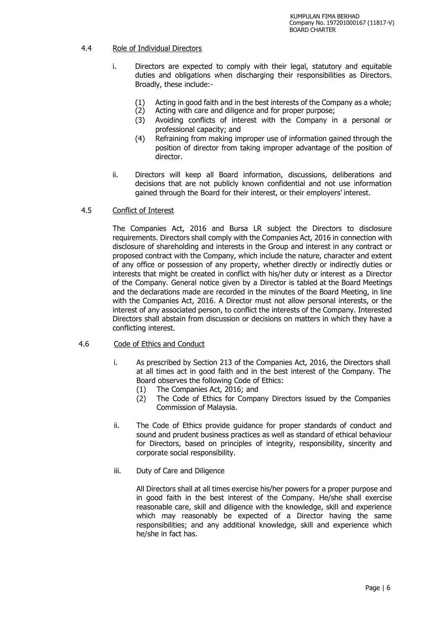#### 4.4 Role of Individual Directors

- i. Directors are expected to comply with their legal, statutory and equitable duties and obligations when discharging their responsibilities as Directors. Broadly, these include:-
	- (1) Acting in good faith and in the best interests of the Company as a whole;<br>(2) Acting with care and diligence and for proper purpose;
	- Acting with care and diligence and for proper purpose;
	- (3) Avoiding conflicts of interest with the Company in a personal or professional capacity; and
	- (4) Refraining from making improper use of information gained through the position of director from taking improper advantage of the position of director.
- ii. Directors will keep all Board information, discussions, deliberations and decisions that are not publicly known confidential and not use information gained through the Board for their interest, or their employers' interest.

#### 4.5 Conflict of Interest

The Companies Act, 2016 and Bursa LR subject the Directors to disclosure requirements. Directors shall comply with the Companies Act, 2016 in connection with disclosure of shareholding and interests in the Group and interest in any contract or proposed contract with the Company, which include the nature, character and extent of any office or possession of any property, whether directly or indirectly duties or interests that might be created in conflict with his/her duty or interest as a Director of the Company. General notice given by a Director is tabled at the Board Meetings and the declarations made are recorded in the minutes of the Board Meeting, in line with the Companies Act, 2016. A Director must not allow personal interests, or the interest of any associated person, to conflict the interests of the Company. Interested Directors shall abstain from discussion or decisions on matters in which they have a conflicting interest.

#### 4.6 Code of Ethics and Conduct

- i. As prescribed by Section 213 of the Companies Act, 2016, the Directors shall at all times act in good faith and in the best interest of the Company. The Board observes the following Code of Ethics:
	- (1) The Companies Act, 2016; and
	- (2) The Code of Ethics for Company Directors issued by the Companies Commission of Malaysia.
- ii. The Code of Ethics provide guidance for proper standards of conduct and sound and prudent business practices as well as standard of ethical behaviour for Directors, based on principles of integrity, responsibility, sincerity and corporate social responsibility.
- iii. Duty of Care and Diligence

All Directors shall at all times exercise his/her powers for a proper purpose and in good faith in the best interest of the Company. He/she shall exercise reasonable care, skill and diligence with the knowledge, skill and experience which may reasonably be expected of a Director having the same responsibilities; and any additional knowledge, skill and experience which he/she in fact has.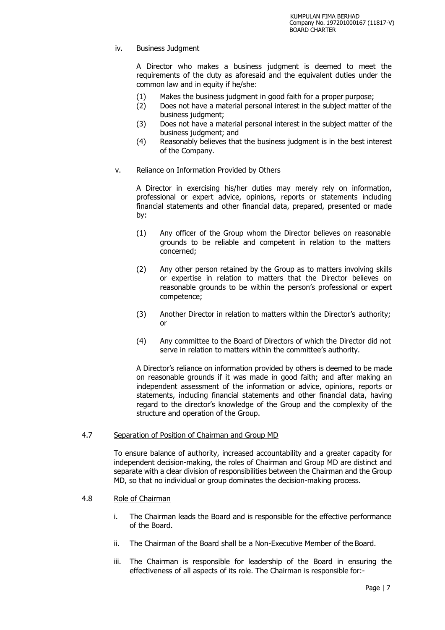iv. Business Judgment

A Director who makes a business judgment is deemed to meet the requirements of the duty as aforesaid and the equivalent duties under the common law and in equity if he/she:

- (1) Makes the business judgment in good faith for a proper purpose;
- (2) Does not have a material personal interest in the subject matter of the business judgment;
- (3) Does not have a material personal interest in the subject matter of the business judgment; and
- (4) Reasonably believes that the business judgment is in the best interest of the Company.
- v. Reliance on Information Provided by Others

A Director in exercising his/her duties may merely rely on information, professional or expert advice, opinions, reports or statements including financial statements and other financial data, prepared, presented or made by:

- (1) Any officer of the Group whom the Director believes on reasonable grounds to be reliable and competent in relation to the matters concerned;
- (2) Any other person retained by the Group as to matters involving skills or expertise in relation to matters that the Director believes on reasonable grounds to be within the person's professional or expert competence;
- (3) Another Director in relation to matters within the Director's authority; or
- (4) Any committee to the Board of Directors of which the Director did not serve in relation to matters within the committee's authority.

A Director's reliance on information provided by others is deemed to be made on reasonable grounds if it was made in good faith; and after making an independent assessment of the information or advice, opinions, reports or statements, including financial statements and other financial data, having regard to the director's knowledge of the Group and the complexity of the structure and operation of the Group.

#### 4.7 Separation of Position of Chairman and Group MD

To ensure balance of authority, increased accountability and a greater capacity for independent decision-making, the roles of Chairman and Group MD are distinct and separate with a clear division of responsibilities between the Chairman and the Group MD, so that no individual or group dominates the decision-making process.

#### 4.8 Role of Chairman

- i. The Chairman leads the Board and is responsible for the effective performance of the Board.
- ii. The Chairman of the Board shall be a Non-Executive Member of the Board.
- iii. The Chairman is responsible for leadership of the Board in ensuring the effectiveness of all aspects of its role. The Chairman is responsible for:-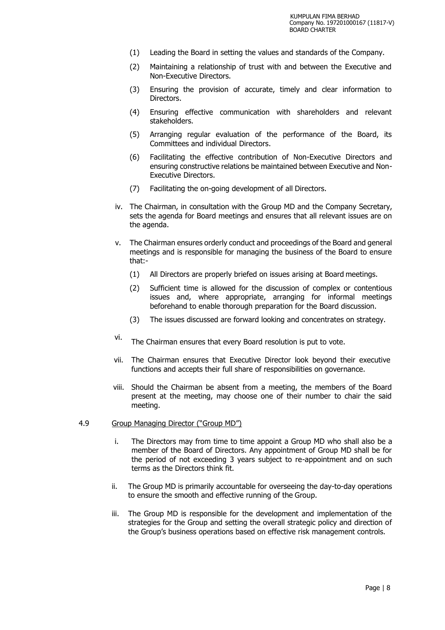- (1) Leading the Board in setting the values and standards of the Company.
- (2) Maintaining a relationship of trust with and between the Executive and Non-Executive Directors.
- (3) Ensuring the provision of accurate, timely and clear information to Directors.
- (4) Ensuring effective communication with shareholders and relevant stakeholders.
- (5) Arranging regular evaluation of the performance of the Board, its Committees and individual Directors.
- (6) Facilitating the effective contribution of Non-Executive Directors and ensuring constructive relations be maintained between Executive and Non-Executive Directors.
- (7) Facilitating the on-going development of all Directors.
- iv. The Chairman, in consultation with the Group MD and the Company Secretary, sets the agenda for Board meetings and ensures that all relevant issues are on the agenda.
- v. The Chairman ensures orderly conduct and proceedings of the Board and general meetings and is responsible for managing the business of the Board to ensure that:-
	- (1) All Directors are properly briefed on issues arising at Board meetings.
	- (2) Sufficient time is allowed for the discussion of complex or contentious issues and, where appropriate, arranging for informal meetings beforehand to enable thorough preparation for the Board discussion.
	- (3) The issues discussed are forward looking and concentrates on strategy.
- vi. The Chairman ensures that every Board resolution is put to vote.
- vii. The Chairman ensures that Executive Director look beyond their executive functions and accepts their full share of responsibilities on governance.
- viii. Should the Chairman be absent from a meeting, the members of the Board present at the meeting, may choose one of their number to chair the said meeting.

#### 4.9 Group Managing Director ("Group MD")

- i. The Directors may from time to time appoint a Group MD who shall also be a member of the Board of Directors. Any appointment of Group MD shall be for the period of not exceeding 3 years subject to re-appointment and on such terms as the Directors think fit.
- ii. The Group MD is primarily accountable for overseeing the day-to-day operations to ensure the smooth and effective running of the Group.
- iii. The Group MD is responsible for the development and implementation of the strategies for the Group and setting the overall strategic policy and direction of the Group's business operations based on effective risk management controls.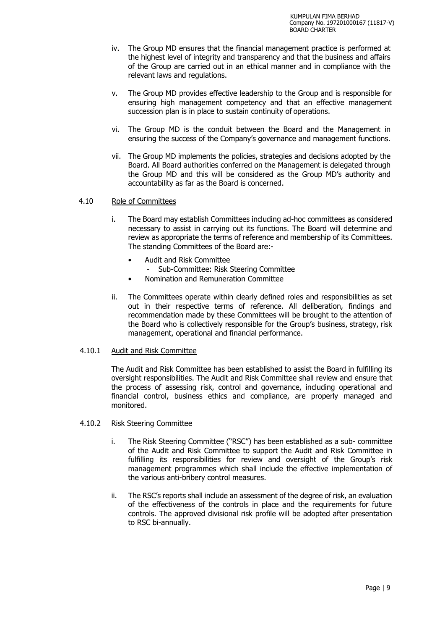- iv. The Group MD ensures that the financial management practice is performed at the highest level of integrity and transparency and that the business and affairs of the Group are carried out in an ethical manner and in compliance with the relevant laws and regulations.
- v. The Group MD provides effective leadership to the Group and is responsible for ensuring high management competency and that an effective management succession plan is in place to sustain continuity of operations.
- vi. The Group MD is the conduit between the Board and the Management in ensuring the success of the Company's governance and management functions.
- vii. The Group MD implements the policies, strategies and decisions adopted by the Board. All Board authorities conferred on the Management is delegated through the Group MD and this will be considered as the Group MD's authority and accountability as far as the Board is concerned.

#### 4.10 Role of Committees

- i. The Board may establish Committees including ad-hoc committees as considered necessary to assist in carrying out its functions. The Board will determine and review as appropriate the terms of reference and membership of its Committees. The standing Committees of the Board are:-
	- Audit and Risk Committee
		- Sub-Committee: Risk Steering Committee
	- Nomination and Remuneration Committee
- ii. The Committees operate within clearly defined roles and responsibilities as set out in their respective terms of reference. All deliberation, findings and recommendation made by these Committees will be brought to the attention of the Board who is collectively responsible for the Group's business, strategy, risk management, operational and financial performance.

#### 4.10.1 Audit and Risk Committee

The Audit and Risk Committee has been established to assist the Board in fulfilling its oversight responsibilities. The Audit and Risk Committee shall review and ensure that the process of assessing risk, control and governance, including operational and financial control, business ethics and compliance, are properly managed and monitored.

#### 4.10.2 Risk Steering Committee

- i. The Risk Steering Committee ("RSC") has been established as a sub- committee of the Audit and Risk Committee to support the Audit and Risk Committee in fulfilling its responsibilities for review and oversight of the Group's risk management programmes which shall include the effective implementation of the various anti-bribery control measures.
- ii. The RSC's reports shall include an assessment of the degree of risk, an evaluation of the effectiveness of the controls in place and the requirements for future controls. The approved divisional risk profile will be adopted after presentation to RSC bi-annually.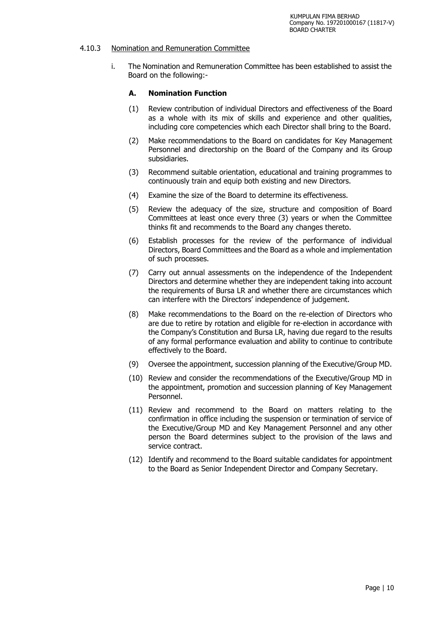#### 4.10.3 Nomination and Remuneration Committee

i. The Nomination and Remuneration Committee has been established to assist the Board on the following:-

#### **A. Nomination Function**

- (1) Review contribution of individual Directors and effectiveness of the Board as a whole with its mix of skills and experience and other qualities, including core competencies which each Director shall bring to the Board.
- (2) Make recommendations to the Board on candidates for Key Management Personnel and directorship on the Board of the Company and its Group subsidiaries.
- (3) Recommend suitable orientation, educational and training programmes to continuously train and equip both existing and new Directors.
- (4) Examine the size of the Board to determine its effectiveness.
- (5) Review the adequacy of the size, structure and composition of Board Committees at least once every three (3) years or when the Committee thinks fit and recommends to the Board any changes thereto.
- (6) Establish processes for the review of the performance of individual Directors, Board Committees and the Board as a whole and implementation of such processes.
- (7) Carry out annual assessments on the independence of the Independent Directors and determine whether they are independent taking into account the requirements of Bursa LR and whether there are circumstances which can interfere with the Directors' independence of judgement.
- (8) Make recommendations to the Board on the re-election of Directors who are due to retire by rotation and eligible for re-election in accordance with the Company's Constitution and Bursa LR, having due regard to the results of any formal performance evaluation and ability to continue to contribute effectively to the Board.
- (9) Oversee the appointment, succession planning of the Executive/Group MD.
- (10) Review and consider the recommendations of the Executive/Group MD in the appointment, promotion and succession planning of Key Management Personnel.
- (11) Review and recommend to the Board on matters relating to the confirmation in office including the suspension or termination of service of the Executive/Group MD and Key Management Personnel and any other person the Board determines subject to the provision of the laws and service contract.
- (12) Identify and recommend to the Board suitable candidates for appointment to the Board as Senior Independent Director and Company Secretary.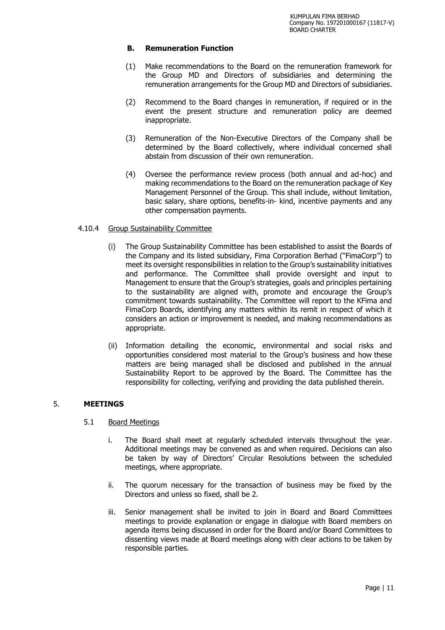#### **B. Remuneration Function**

- (1) Make recommendations to the Board on the remuneration framework for the Group MD and Directors of subsidiaries and determining the remuneration arrangements for the Group MD and Directors of subsidiaries.
- (2) Recommend to the Board changes in remuneration, if required or in the event the present structure and remuneration policy are deemed inappropriate.
- (3) Remuneration of the Non-Executive Directors of the Company shall be determined by the Board collectively, where individual concerned shall abstain from discussion of their own remuneration.
- (4) Oversee the performance review process (both annual and ad-hoc) and making recommendations to the Board on the remuneration package of Key Management Personnel of the Group. This shall include, without limitation, basic salary, share options, benefits-in- kind, incentive payments and any other compensation payments.

#### 4.10.4 Group Sustainability Committee

- (i) The Group Sustainability Committee has been established to assist the Boards of the Company and its listed subsidiary, Fima Corporation Berhad ("FimaCorp") to meet its oversight responsibilities in relation to the Group's sustainability initiatives and performance. The Committee shall provide oversight and input to Management to ensure that the Group's strategies, goals and principles pertaining to the sustainability are aligned with, promote and encourage the Group's commitment towards sustainability. The Committee will report to the KFima and FimaCorp Boards, identifying any matters within its remit in respect of which it considers an action or improvement is needed, and making recommendations as appropriate.
- (ii) Information detailing the economic, environmental and social risks and opportunities considered most material to the Group's business and how these matters are being managed shall be disclosed and published in the annual Sustainability Report to be approved by the Board. The Committee has the responsibility for collecting, verifying and providing the data published therein.

#### 5. **MEETINGS**

#### 5.1 Board Meetings

- i. The Board shall meet at regularly scheduled intervals throughout the year. Additional meetings may be convened as and when required. Decisions can also be taken by way of Directors' Circular Resolutions between the scheduled meetings, where appropriate.
- ii. The quorum necessary for the transaction of business may be fixed by the Directors and unless so fixed, shall be 2.
- iii. Senior management shall be invited to join in Board and Board Committees meetings to provide explanation or engage in dialogue with Board members on agenda items being discussed in order for the Board and/or Board Committees to dissenting views made at Board meetings along with clear actions to be taken by responsible parties.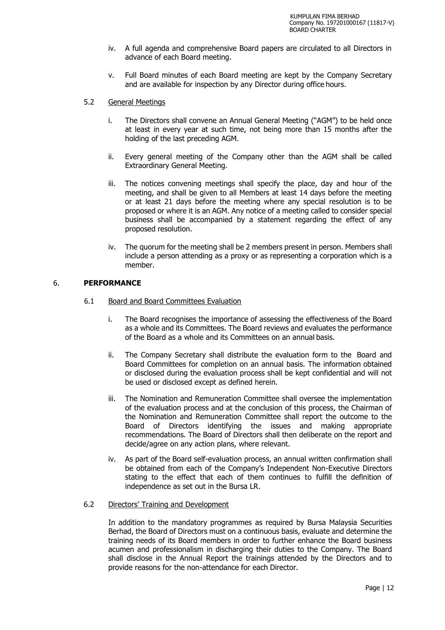- iv. A full agenda and comprehensive Board papers are circulated to all Directors in advance of each Board meeting.
- v. Full Board minutes of each Board meeting are kept by the Company Secretary and are available for inspection by any Director during office hours.
- 5.2 General Meetings
	- i. The Directors shall convene an Annual General Meeting ("AGM") to be held once at least in every year at such time, not being more than 15 months after the holding of the last preceding AGM.
	- ii. Every general meeting of the Company other than the AGM shall be called Extraordinary General Meeting.
	- iii. The notices convening meetings shall specify the place, day and hour of the meeting, and shall be given to all Members at least 14 days before the meeting or at least 21 days before the meeting where any special resolution is to be proposed or where it is an AGM. Any notice of a meeting called to consider special business shall be accompanied by a statement regarding the effect of any proposed resolution.
	- iv. The quorum for the meeting shall be 2 members present in person. Members shall include a person attending as a proxy or as representing a corporation which is a member.

#### 6. **PERFORMANCE**

- 6.1 Board and Board Committees Evaluation
	- i. The Board recognises the importance of assessing the effectiveness of the Board as a whole and its Committees. The Board reviews and evaluates the performance of the Board as a whole and its Committees on an annual basis.
	- ii. The Company Secretary shall distribute the evaluation form to the Board and Board Committees for completion on an annual basis. The information obtained or disclosed during the evaluation process shall be kept confidential and will not be used or disclosed except as defined herein.
	- iii. The Nomination and Remuneration Committee shall oversee the implementation of the evaluation process and at the conclusion of this process, the Chairman of the Nomination and Remuneration Committee shall report the outcome to the Board of Directors identifying the issues and making appropriate recommendations. The Board of Directors shall then deliberate on the report and decide/agree on any action plans, where relevant.
	- iv. As part of the Board self-evaluation process, an annual written confirmation shall be obtained from each of the Company's Independent Non-Executive Directors stating to the effect that each of them continues to fulfill the definition of independence as set out in the Bursa LR.
- 6.2 Directors' Training and Development

In addition to the mandatory programmes as required by Bursa Malaysia Securities Berhad, the Board of Directors must on a continuous basis, evaluate and determine the training needs of its Board members in order to further enhance the Board business acumen and professionalism in discharging their duties to the Company. The Board shall disclose in the Annual Report the trainings attended by the Directors and to provide reasons for the non-attendance for each Director.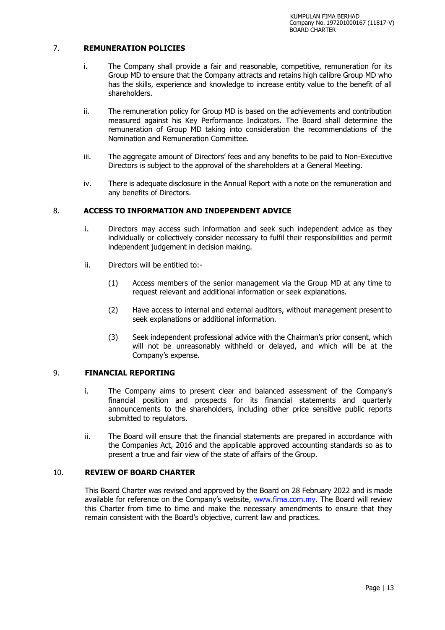#### 7. **REMUNERATION POLICIES**

- i. The Company shall provide a fair and reasonable, competitive, remuneration for its Group MD to ensure that the Company attracts and retains high calibre Group MD who has the skills, experience and knowledge to increase entity value to the benefit of all shareholders.
- ii. The remuneration policy for Group MD is based on the achievements and contribution measured against his Key Performance Indicators. The Board shall determine the remuneration of Group MD taking into consideration the recommendations of the Nomination and Remuneration Committee.
- iii. The aggregate amount of Directors' fees and any benefits to be paid to Non-Executive Directors is subject to the approval of the shareholders at a General Meeting.
- iv. There is adequate disclosure in the Annual Report with a note on the remuneration and any benefits of Directors.

#### 8. **ACCESS TO INFORMATION AND INDEPENDENT ADVICE**

- i. Directors may access such information and seek such independent advice as they individually or collectively consider necessary to fulfil their responsibilities and permit independent judgement in decision making.
- ii. Directors will be entitled to:-
	- (1) Access members of the senior management via the Group MD at any time to request relevant and additional information or seek explanations.
	- (2) Have access to internal and external auditors, without management present to seek explanations or additional information.
	- (3) Seek independent professional advice with the Chairman's prior consent, which will not be unreasonably withheld or delayed, and which will be at the Company's expense.

#### 9. **FINANCIAL REPORTING**

- i. The Company aims to present clear and balanced assessment of the Company's financial position and prospects for its financial statements and quarterly announcements to the shareholders, including other price sensitive public reports submitted to regulators.
- ii. The Board will ensure that the financial statements are prepared in accordance with the Companies Act, 2016 and the applicable approved accounting standards so as to present a true and fair view of the state of affairs of the Group.

#### 10. **REVIEW OF BOARD CHARTER**

This Board Charter was revised and approved by the Board on 28 February 2022 and is made available for reference on the Company's website, [www.fima.com.my.](http://www.fima.com.my/) The Board will review this Charter from time to time and make the necessary amendments to ensure that they remain consistent with the Board's objective, current law and practices.